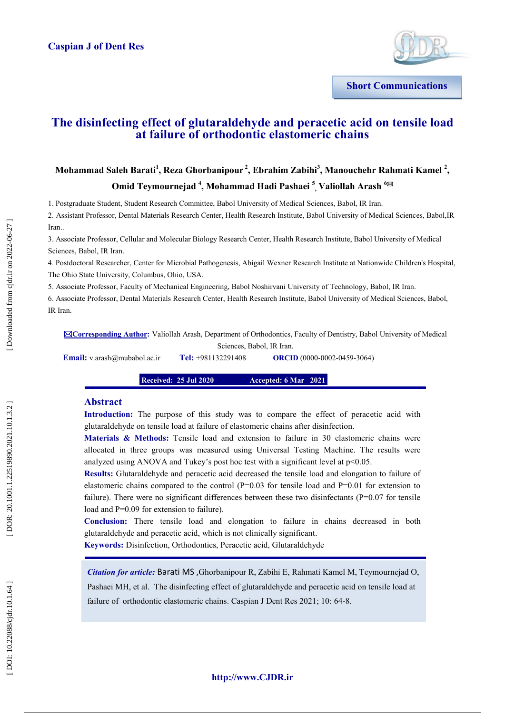

**Short Communications**

# **The disinfecting effect of glutaraldehyde and peracetic acid on tensile load at failure of orthodontic elastomeric chains**

# **Mohammad Saleh Barati 1 , Reza Ghorbanipour 2 , Ebrahim Zabihi 3 , Mano uchehr Rahmati Kamel 2 ,**   $\boldsymbol{\Theta}$ mid Teymournejad <sup>4</sup>, Mohammad Hadi Pashaei <sup>5</sup>, Valiollah Arash  $^{6$

1. Postgraduate Student, Student Research Committee, Babol University of Medica l Sciences, Babol, IR Iran.

2 . Assistant Professor, Dental Materials Research Center, Health Research Institute, Babol University of Medical Sciences, Babol,IR Iran. .

3. Associate Professor, Cellular and Molecular Biology Research Center, Health Research Institute, Babol University of Medical Sciences, Babol, IR Iran.

4. Postdoctoral Researcher , Center for Microbial Pathogenesis, Abigail Wexner Research Institute at Nationwide Children's Hospital, The Ohio State University, Columbus, Ohio, USA .

5. Associate Professor, Faculty of Mechanical Engineering, Babol Noshirvani University of Technology, Babol , IR Iran .

6. Associate Professor, Dental Materials Research Center, Health Research Institute, Babol University of Medical Sciences, Babol, IR Iran.

**⊠Corresponding Author:** Valiollah Arash, Department of Orthodontics, Faculty of Dentistry, Babol University of Medical Sciences, Babol, IR Iran.

**Email:** v.arash@mubabol.ac.ir **Tel:** 

Tel: +981132291408

(0000 -0002 -0459 -3064 )

**Received:** 25 Jul 2020 **12 Accepted:** 6 Mar 2021

# **Abstract**

**Introduction :** The purpose of this study was to compare the effect of peracetic acid with glutaraldehyde on tensile load at failure of elastomeric chains after disinfection.

**Materials & Methods:** Tensile load and extension to failure in 30 elastomeric chains were allocated in three groups was measured using Universal Testing Machine. The results were analyzed using ANOVA and Tukey's post hoc test with a significant level at  $p<0.05$ .

**Results:**  Glutaraldehyde and peracetic acid decreased the tensile load and elongation to failure of elastomeric chains compared to the control ( $P=0.03$  for tensile load and  $P=0.01$  for extension to failure). There were no significant differences between these two disinfectants (P=0.07 for tensile load and P=0.09 for extension to failure).

**Conclusion:** There tensile load and elongation to failure in chains decreased in both glutaraldehyde and peracetic acid, which is not clinically significant .

**Keywords:** Disinfection, Orthodontics, Peracetic acid, Glutaraldehyde

*Citation for article:* Barati MS ,Ghorbanipour R, Zabihi E , Rahmati Kamel M, Teymourn ejad O, Pashaei MH, et al. The disinfecting effect of glutaraldehyde and peracetic acid on tensile load at failure of orthodontic elastomeric chains. Caspian J Dent Res 2021; 10: 64-8.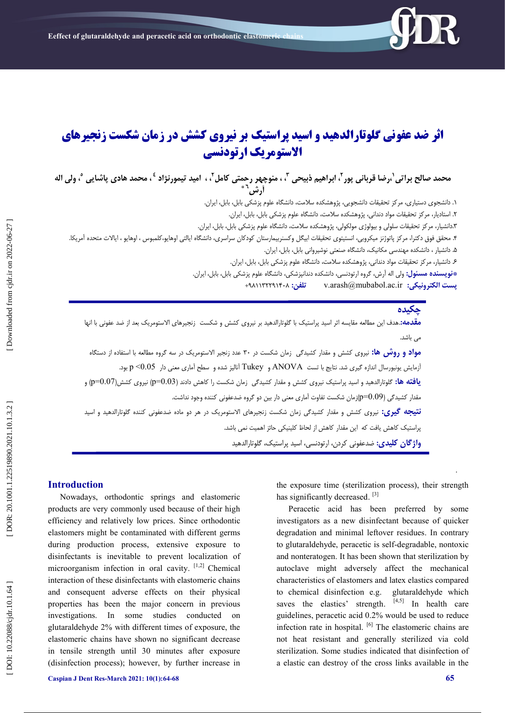

# **اثر ضد عفونی گلوتارالدهید و اسید پراستیک بر نیروی کشش در زمان شکست زنجیرهای االستومریک ارتودنسی**

محمد صالح براتی <sup>י</sup>،رضا قربانی پور <sup>۲</sup>، ابراهیم ذبیحی <sup>۲</sup>، ، منوچهر رحمتی کامل <sup>۲</sup>، ، امید تیمورنژاد <sup>٤</sup>، محمد هادی پاشایی °، ولی اله **آرش 6 \***

۱. دانشجوی دستیاری، مرکز تحقیقات دانشجویی، پژوهشکده سلامت، دانشگاه علوم پزشکی بابل، بابل، ایران. ۲. استادیار، مرکز تحقیقات مواد دندانی، پژوهشکده سلامت، دانشگاه علوم پزشکی بابل، بابل، ایران. . ۱.دانشیار، مرکز تحقیقات سلولی و بیولوژی مولکولی، پژوهشکده سلامت، دانشگاه علوم پزشکی بابل، بابل، ایران. ۲. محقق فوق دکترا، مرکز پاتوژنز میکروبی، انستیتوی تحقیقات ابیگل وکسنربیمارستان کودکان سراسری، دانشگاه ایالتی ایعام میکنا، میچ است متحده امریکا. ۵. دانشیار ، دانشکده مهندسی مکانیک، دانشگاه صنعتی نوشیروانی بابل، بابل، ایران. ۶. دانشیار، مرکز تحقیقات مواد دندانی، پژوهشکده سلامت، دانشگاه علوم پزشکی بابل، بابل، ایران. . **پست الکتريویکی:** ir.ac.mubabol@arash.v **تلفه:** +391132231489 **\*وًیسىدٌ مسئًل:** يلی الٍ آرش، گريٌ ارتًدوسی، داوطکدٌ دوداوپسضکی، داوطگاٌ علًم پسضکی بابل، بابل، ایران.

## **چکیدٌ**

**مقدمه:**.هدف این مطالعه مقایسه اثر اسید پراستیک با گلوتارالدهید بر نیروی کشش و شکست زنجیرهای الاستومریک بعد از ضد عفونی با انها . می باضد. <mark>مواد و روش ها:</mark> نیروی کشش و مقدار کشیدگی زمان شکست در ۳۰ عدد زنجیر الاستومریک در سه گروه مطالعه با استفاده از دستگاه آزمایص یًویًرسال اودازٌ گیری ضد. وتایج با تست ANOVA ي Tukey آوالیس ضدٌ ي سطح آماری معىی دار 0.05> p بًد. **یافته ها:** گلوتارالدهید و اسید پراستیک نیروی کشش و مقدار کشیدگی زمان شکست را کاهش دادند (p=0.03) نیروی کشش(p=0.07) و مقدار کشیدگی (p= $0.09$ زمان شکست تفاوت آماری معنی دار بین دو گروه ضدعفونی کننده وجود نداشت. **نتیجه گیری:** نیروی کشش و مقدار کشیدگی زمان شکست زنجیرهای الاستومریک در هر دو ماده ضدعفونی کننده گلوتارالدهید و اسید براستیک کاهش یافت که این مقدار کاهش از لحاظ کلینیکی حائز اهمیت نمی باشد. **واژگان کلیدی:** ضدعفونی کردن، ارتودنسی، اسید پراستیک، گلوتارالدهید

# **Introduction**

Nowadays, orthodontic springs and elastomeric products are very commonly used because of their high efficiency and relatively low prices . Since orthodontic elastomers might be contaminated with different germs during production process, extensive exposure to disinfectants is inevitable to prevent localization of microorganism infection in oral cavity. [1,2] Chemical interaction of these disinfectants with elastomeric chains and consequent adverse effects on their physical properties has been the major concern in previous investigations. In some studies conducted on glutaraldehyde 2% with different times of exposure, the elastomeric chains have shown no significant decrease in tensile strength until 30 minutes after exposure (disinfection process); however, by further increase in

the exposure time (sterilization process), their strength has significantly decreased.<sup>[3]</sup>

Peracetic acid has been preferred by some investigators as a new disinfectant because of quicker degradation and minimal leftover residues . In contrary to glutaraldehyde, peracetic is self-degradable, nontoxic and nonteratogen . It has been shown that sterilization by autoclave might adversely affect the mechanical characteristics of elastomers and latex elastics compared to chemical disinfection e.g. glutaraldehyde which saves the elastics' strength.  $[4,5]$  In health care guidelines, peracetic acid 0.2% would be used to reduce infection rate in hospital. <sup>[6]</sup> The elastomeric chains are not heat resistant and generally sterilized via cold sterilization. Some studies indicated that disinfection of a elastic can destroy of the cross links available in the

.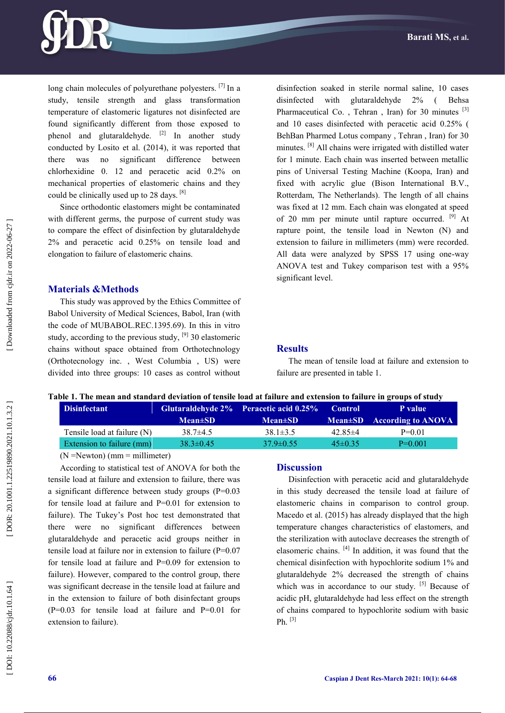

long chain molecules of polyurethane polyesters.<sup>[7]</sup> In a study, tensile strength and glass transformation temperature of elastomeric ligatures not disinfected are found significantly different from those exposed to phenol and glutaraldehyde. <sup>[2]</sup> In another study conducted by Losito et al. (2014), it was reported that there was no significant difference between chlorhexidine 0. 12 and peracetic acid 0.2% on mechanical properties of elastomeric chains and they could be clinically used up to 28 days. [8]

Since orthodontic elastomers might be contaminated with different germs, the purpose of current study was to compare the effect of disinfection by glutaraldehyde 2% and peracetic acid 0.25% on tensile load and elongation to failure of elastomeric chains.

### **Materials &Methods**

This study was approved by the Ethics Committee of Babol University of Medical Sciences, Babol, Iran (with the code of MUBABOL.REC.1395.69). In this in vitro study, according to the previous study,  $[9]$  30 elastomeric chains without space obtained from Orthotechnology (Orthotecnology inc. , West Columbia , US) were divided into three groups: 10 cases as control without

disinfection soaked in sterile normal saline, 10 cases disinfected with glutaraldehyde 2% ( Behsa Pharmaceutical Co., Tehran, Iran) for 30 minutes [3] and 10 cases disinfected with peracetic acid 0.25% ( BehBan Pharmed Lotus company , Tehran , Iran) for 30 minutes. <sup>[8]</sup> All chains were irrigated with distilled water for 1 minute. Each chain was inserted between metallic pins of Universal Testing Machine (Koopa, Iran) and fixed with acrylic glue (Bison International B.V., Rotterdam, The Netherlands). The length of all chains was fixed at 12 mm. Each chain was elongated at speed of 20 mm per minute until rapture occurred. <sup>[9]</sup> At rapture point, the tensile load in Newton (N) and extension to failure in millimeters (mm) were recorded. All data were analyzed by SPSS 17 using one -way ANOVA test and Tukey comparison test with a 95% significant level.

## **Results**

The mean of tensile load at failure and extension to failure are presented in table 1.

#### **Table 1 . The mean and standard deviation of tensile load at failure and extension to failure in groups of study**

| <b>Disinfectant</b>         |                 | Glutaraldehyde 2% Peracetic acid 0.25% | <b>Control</b> | P value                    |
|-----------------------------|-----------------|----------------------------------------|----------------|----------------------------|
|                             | $Mean \pm SD$   | $Mean \pm SD$                          |                | Mean±SD According to ANOVA |
| Tensile load at failure (N) | $38.7\pm4.5$    | $38.1 \pm 3.5$                         | 42.85 $\pm$ 4  | $P=0.01$                   |
| Extension to failure (mm)   | $38.3 \pm 0.45$ | $37.9 \pm 0.55$                        | $45\pm0.35$    | $P=0.001$                  |

 $(N = Newton)$  (mm = millimeter)

According to statistical test of ANOVA for both the tensile load at failure and extension to failure, there was a significant difference between study groups (P=0.03 for tensile load at failure and P=0.01 for extension to failure). The Tukey's Post hoc test demonstrated that there were no significant differences between glutaraldehyde and peracetic acid groups neither in tensile load at failure nor in extension to failure (P=0.07 for tensile load at failure and P=0.09 for extension to failure). However, compared to the control group, there was significant decrease in the tensile load at failure and in the extension to failure of both disinfectant groups  $(P=0.03$  for tensile load at failure and  $P=0.01$  for extension to failure).

#### **Discussion**

Disinfection with peracetic acid and glutaraldehyde in this study decreased the tensile load at failure of elastomeric chains in comparison to control group. Macedo et al. (2015) has already displayed that the high temperature changes characteristics of elastomers, and the sterilization with autoclave decreases the strength of elasomeric chains. [ 4 ] In addition, it was found that the chemical disinfection with hypochlorite sodium 1% and glutaraldehyde 2% decreased the strength of chains which was in accordance to our study.  $[5]$  Because of acidic pH, glutaraldehyde had less effect on the strength of chains compared to hypochlorite sodium with basic Ph.<sup>[3]</sup>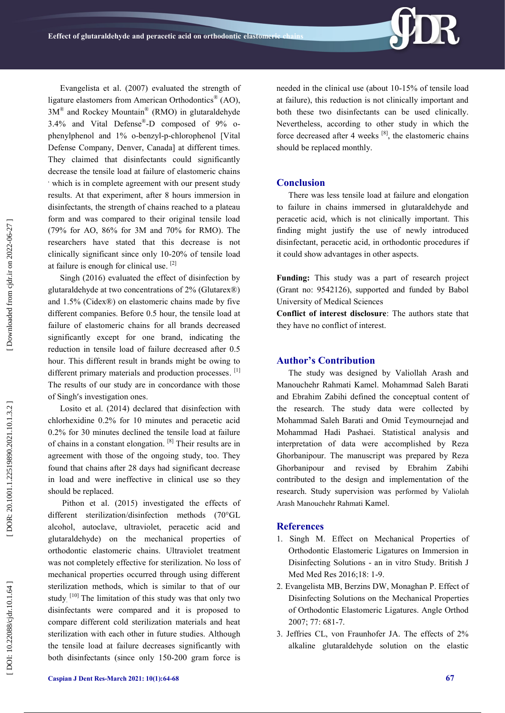

Evangelista et al. (2007) evaluated the strength of ligature elastomers from American Orthodontics ® (AO),  $3M^{\circledR}$  and Rockey Mountain<sup>®</sup> (RMO) in glutaraldehyde 3.4% and Vital Defense ® -D composed of 9% o phenylphenol and 1% o -benzyl - p -chlorophenol [Vital Defense Company, Denver, Canada] at different times. They claimed that disinfectants could significantly decrease the tensile load at failure of elastomeric chains , which is in complete agreement with our present study results. At that experiment, after 8 hours immersion in disinfectants, the strength of chains reached to a plateau form and was compared to their original tensile load (79% for AO, 86% for 3M and 70% for RMO). The researchers have stated that this decrease is not clinically significant since only 10 -20% of tensile load at failure is enough for clinical use.<sup>[2]</sup>

Singh (2016) evaluated the effect of disinfection by glutaraldehyde at two concentrations of 2% (Glutarex®) and 1.5% (Cidex®) on elastomeric chains made by five different companies. Before 0.5 hour, the tensile load at failure of elastomeric chains for all brands decreased significantly except for one brand, indicating the reduction in tensile load of failure decreased after 0.5 hour. This different result in brands might be owing to different primary materials and production processes.<sup>[1]</sup> The results of our study are in concordance with those of Singh s investigation ones .

Losito et al. (2014) declared that disinfection with chlorhexidine 0.2% for 10 minutes and peracetic acid 0.2% for 30 minutes declined the tensile load at failure of chains in a constant elongation. [8] Their results are in agreement with those of the ongoing study, too. They found that chains after 28 days had significant decrease in load and were ineffective in clinical use so they should be replaced.

Pithon et al. (2015) investigated the effects of different sterilization/disinfection methods (70°GL alcohol, autoclave, ultraviolet, peracetic acid and glutaraldehyde) on the mechanical properties of orthodontic elastomeric chains. Ultraviolet treatment was not completely effective for sterilization. No loss of mechanical properties occurred through using different sterilization methods, which is similar to that of our study.<sup>[10]</sup> The limitation of this study was that only two disinfectants were compared and it is proposed to compare different cold sterilization materials and heat sterilization with each other in future studies. Although the tensile load at failure decreases significantly with both disinfectants (since only 150 -200 gram force is

needed in the clinical use (about 10 -15% of tensile load at failure), this reduction is not clinically important and both these two disinfectants can be used clinically. Nevertheless, according to other study in which the force decreased after 4 weeks  $[8]$ , the elastomeric chains should be replaced monthly.

#### **Conclusion**

There was less tensile load at failure and elongation to failure in chains immersed in glutaraldehyde and peracetic acid, which is not clinically important. This finding might justify the use of newly introduced disinfectant, peracetic acid, in orthodontic procedures if it could show advantages in other aspects.

**Funding:** This study was a part of research project (Grant no: 9542126), supported and funded by Babol University of Medical Sciences

**Conflict of interest disclosure**: The authors state that they have no conflict of interest.

#### **Author's Contribution**

The study was designed by Valiollah Arash and Manouchehr Rahmati Kamel. Mohammad Saleh Barati and Ebrahim Zabihi defined the conceptual content of the research. The study data were collected by Mohammad Saleh Barati and Omid Teymournejad and Mohammad Hadi Pashaei. Statistical analysis and interpretation of data were accomplished by Reza Ghorbanipour. The manuscript was prepared by Reza Ghorbanipour and revised by Ebrahim Zabihi contributed to the design and implementation of the research. Study supervision was performed by Valiolah Arash Manouchehr Rahmati Kamel.

#### **References**

- 1. Singh M. Effect on Mechanical Properties of Orthodontic Elastomeric Ligatures on Immersion in Disinfecting Solutions - an in vitro Study. British J Med Med Res 2016;18: 1 -9.
- 2 . Evangelista MB, Berzins DW, Monaghan P. Effect of Disinfecting Solutions on the Mechanical Properties of Orthodontic Elastomeric Ligatures. Angle Orthod 2007; 77: 681 -7.
- 3 . Jeffries CL, von Fraunhofer JA. The effects of 2% alkaline glutaraldehyde solution on the elastic